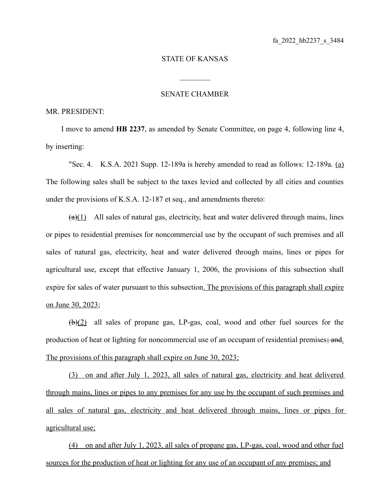## STATE OF KANSAS

 $\mathcal{L}_\text{max}$ 

## SENATE CHAMBER

## MR. PRESIDENT:

I move to amend **HB 2237**, as amended by Senate Committee, on page 4, following line 4, by inserting:

"Sec. 4. K.S.A. 2021 Supp. 12-189a is hereby amended to read as follows: 12-189a. (a) The following sales shall be subject to the taxes levied and collected by all cities and counties under the provisions of K.S.A. 12-187 et seq., and amendments thereto:

 $(a)(1)$  All sales of natural gas, electricity, heat and water delivered through mains, lines or pipes to residential premises for noncommercial use by the occupant of such premises and all sales of natural gas, electricity, heat and water delivered through mains, lines or pipes for agricultural use, except that effective January 1, 2006, the provisions of this subsection shall expire for sales of water pursuant to this subsection. The provisions of this paragraph shall expire on June 30, 2023;

(b)(2) all sales of propane gas, LP-gas, coal, wood and other fuel sources for the production of heat or lighting for noncommercial use of an occupant of residential premises; and. The provisions of this paragraph shall expire on June 30, 2023;

 (3) on and after July 1, 2023, all sales of natural gas, electricity and heat delivered through mains, lines or pipes to any premises for any use by the occupant of such premises and all sales of natural gas, electricity and heat delivered through mains, lines or pipes for agricultural use;

(4) on and after July 1, 2023, all sales of propane gas, LP-gas, coal, wood and other fuel sources for the production of heat or lighting for any use of an occupant of any premises; and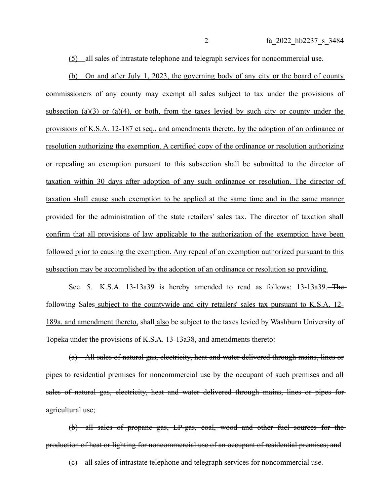(5) all sales of intrastate telephone and telegraph services for noncommercial use.

(b) On and after July 1, 2023, the governing body of any city or the board of county commissioners of any county may exempt all sales subject to tax under the provisions of subsection (a)(3) or (a)(4), or both, from the taxes levied by such city or county under the provisions of K.S.A. 12-187 et seq., and amendments thereto, by the adoption of an ordinance or resolution authorizing the exemption. A certified copy of the ordinance or resolution authorizing or repealing an exemption pursuant to this subsection shall be submitted to the director of taxation within 30 days after adoption of any such ordinance or resolution. The director of taxation shall cause such exemption to be applied at the same time and in the same manner provided for the administration of the state retailers' sales tax. The director of taxation shall confirm that all provisions of law applicable to the authorization of the exemption have been followed prior to causing the exemption. Any repeal of an exemption authorized pursuant to this subsection may be accomplished by the adoption of an ordinance or resolution so providing.

Sec. 5. K.S.A. 13-13a39 is hereby amended to read as follows: 13-13a39. The following Sales subject to the countywide and city retailers' sales tax pursuant to K.S.A. 12- 189a, and amendment thereto, shall also be subject to the taxes levied by Washburn University of Topeka under the provisions of K.S.A. 13-13a38, and amendments thereto:

(a) All sales of natural gas, electricity, heat and water delivered through mains, lines or pipes to residential premises for noncommercial use by the occupant of such premises and all sales of natural gas, electricity, heat and water delivered through mains, lines or pipes for agricultural use;

(b) all sales of propane gas, LP-gas, coal, wood and other fuel sources for the production of heat or lighting for noncommercial use of an occupant of residential premises; and

(c) all sales of intrastate telephone and telegraph services for noncommercial use.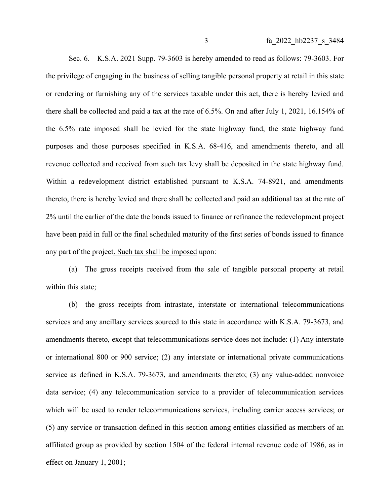Sec. 6. K.S.A. 2021 Supp. 79-3603 is hereby amended to read as follows: 79-3603. For the privilege of engaging in the business of selling tangible personal property at retail in this state or rendering or furnishing any of the services taxable under this act, there is hereby levied and there shall be collected and paid a tax at the rate of 6.5%. On and after July 1, 2021, 16.154% of the 6.5% rate imposed shall be levied for the state highway fund, the state highway fund purposes and those purposes specified in K.S.A. 68-416, and amendments thereto, and all revenue collected and received from such tax levy shall be deposited in the state highway fund. Within a redevelopment district established pursuant to K.S.A. 74-8921, and amendments thereto, there is hereby levied and there shall be collected and paid an additional tax at the rate of 2% until the earlier of the date the bonds issued to finance or refinance the redevelopment project have been paid in full or the final scheduled maturity of the first series of bonds issued to finance any part of the project. Such tax shall be imposed upon:

(a) The gross receipts received from the sale of tangible personal property at retail within this state;

(b) the gross receipts from intrastate, interstate or international telecommunications services and any ancillary services sourced to this state in accordance with K.S.A. 79-3673, and amendments thereto, except that telecommunications service does not include: (1) Any interstate or international 800 or 900 service; (2) any interstate or international private communications service as defined in K.S.A. 79-3673, and amendments thereto; (3) any value-added nonvoice data service; (4) any telecommunication service to a provider of telecommunication services which will be used to render telecommunications services, including carrier access services; or (5) any service or transaction defined in this section among entities classified as members of an affiliated group as provided by section 1504 of the federal internal revenue code of 1986, as in effect on January 1, 2001;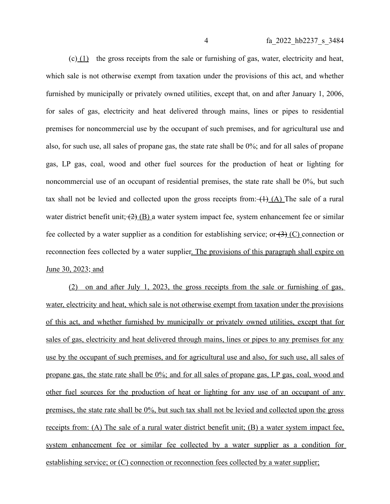(c) (1) the gross receipts from the sale or furnishing of gas, water, electricity and heat, which sale is not otherwise exempt from taxation under the provisions of this act, and whether furnished by municipally or privately owned utilities, except that, on and after January 1, 2006, for sales of gas, electricity and heat delivered through mains, lines or pipes to residential premises for noncommercial use by the occupant of such premises, and for agricultural use and also, for such use, all sales of propane gas, the state rate shall be 0%; and for all sales of propane gas, LP gas, coal, wood and other fuel sources for the production of heat or lighting for noncommercial use of an occupant of residential premises, the state rate shall be 0%, but such tax shall not be levied and collected upon the gross receipts from:  $(H)$  (A) The sale of a rural water district benefit unit;  $(2)$  (B) a water system impact fee, system enhancement fee or similar fee collected by a water supplier as a condition for establishing service; or  $\left(3\right)$  (C) connection or reconnection fees collected by a water supplier. The provisions of this paragraph shall expire on June 30, 2023; and

(2) on and after July 1, 2023, the gross receipts from the sale or furnishing of gas, water, electricity and heat, which sale is not otherwise exempt from taxation under the provisions of this act, and whether furnished by municipally or privately owned utilities, except that for sales of gas, electricity and heat delivered through mains, lines or pipes to any premises for any use by the occupant of such premises, and for agricultural use and also, for such use, all sales of propane gas, the state rate shall be 0%; and for all sales of propane gas, LP gas, coal, wood and other fuel sources for the production of heat or lighting for any use of an occupant of any premises, the state rate shall be 0%, but such tax shall not be levied and collected upon the gross receipts from: (A) The sale of a rural water district benefit unit; (B) a water system impact fee, system enhancement fee or similar fee collected by a water supplier as a condition for establishing service; or (C) connection or reconnection fees collected by a water supplier;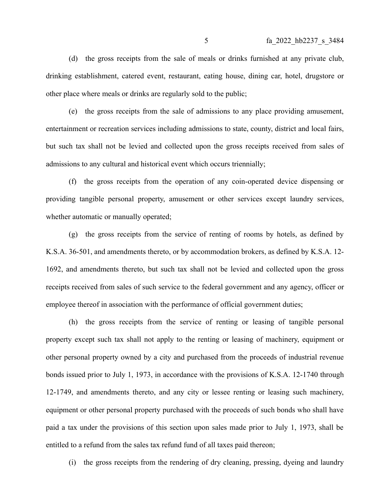(d) the gross receipts from the sale of meals or drinks furnished at any private club, drinking establishment, catered event, restaurant, eating house, dining car, hotel, drugstore or other place where meals or drinks are regularly sold to the public;

(e) the gross receipts from the sale of admissions to any place providing amusement, entertainment or recreation services including admissions to state, county, district and local fairs, but such tax shall not be levied and collected upon the gross receipts received from sales of admissions to any cultural and historical event which occurs triennially;

(f) the gross receipts from the operation of any coin-operated device dispensing or providing tangible personal property, amusement or other services except laundry services, whether automatic or manually operated;

(g) the gross receipts from the service of renting of rooms by hotels, as defined by K.S.A. 36-501, and amendments thereto, or by accommodation brokers, as defined by K.S.A. 12- 1692, and amendments thereto, but such tax shall not be levied and collected upon the gross receipts received from sales of such service to the federal government and any agency, officer or employee thereof in association with the performance of official government duties;

(h) the gross receipts from the service of renting or leasing of tangible personal property except such tax shall not apply to the renting or leasing of machinery, equipment or other personal property owned by a city and purchased from the proceeds of industrial revenue bonds issued prior to July 1, 1973, in accordance with the provisions of K.S.A. 12-1740 through 12-1749, and amendments thereto, and any city or lessee renting or leasing such machinery, equipment or other personal property purchased with the proceeds of such bonds who shall have paid a tax under the provisions of this section upon sales made prior to July 1, 1973, shall be entitled to a refund from the sales tax refund fund of all taxes paid thereon;

(i) the gross receipts from the rendering of dry cleaning, pressing, dyeing and laundry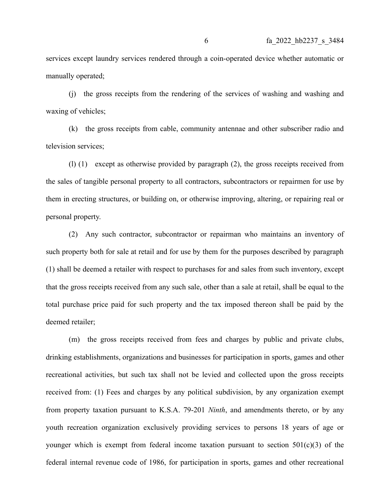services except laundry services rendered through a coin-operated device whether automatic or manually operated;

(j) the gross receipts from the rendering of the services of washing and washing and waxing of vehicles;

(k) the gross receipts from cable, community antennae and other subscriber radio and television services;

(l) (1) except as otherwise provided by paragraph (2), the gross receipts received from the sales of tangible personal property to all contractors, subcontractors or repairmen for use by them in erecting structures, or building on, or otherwise improving, altering, or repairing real or personal property.

(2) Any such contractor, subcontractor or repairman who maintains an inventory of such property both for sale at retail and for use by them for the purposes described by paragraph (1) shall be deemed a retailer with respect to purchases for and sales from such inventory, except that the gross receipts received from any such sale, other than a sale at retail, shall be equal to the total purchase price paid for such property and the tax imposed thereon shall be paid by the deemed retailer;

(m) the gross receipts received from fees and charges by public and private clubs, drinking establishments, organizations and businesses for participation in sports, games and other recreational activities, but such tax shall not be levied and collected upon the gross receipts received from: (1) Fees and charges by any political subdivision, by any organization exempt from property taxation pursuant to K.S.A. 79-201 *Ninth*, and amendments thereto, or by any youth recreation organization exclusively providing services to persons 18 years of age or younger which is exempt from federal income taxation pursuant to section  $501(c)(3)$  of the federal internal revenue code of 1986, for participation in sports, games and other recreational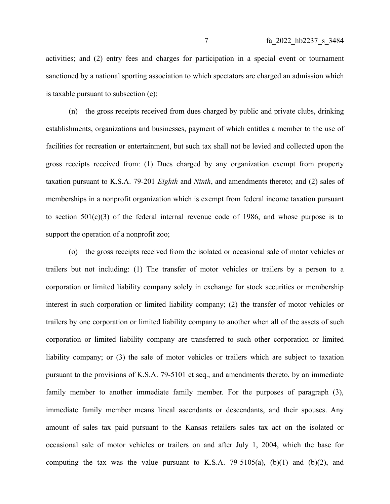activities; and (2) entry fees and charges for participation in a special event or tournament sanctioned by a national sporting association to which spectators are charged an admission which is taxable pursuant to subsection (e);

(n) the gross receipts received from dues charged by public and private clubs, drinking establishments, organizations and businesses, payment of which entitles a member to the use of facilities for recreation or entertainment, but such tax shall not be levied and collected upon the gross receipts received from: (1) Dues charged by any organization exempt from property taxation pursuant to K.S.A. 79-201 *Eighth* and *Ninth*, and amendments thereto; and (2) sales of memberships in a nonprofit organization which is exempt from federal income taxation pursuant to section  $501(c)(3)$  of the federal internal revenue code of 1986, and whose purpose is to support the operation of a nonprofit zoo;

(o) the gross receipts received from the isolated or occasional sale of motor vehicles or trailers but not including: (1) The transfer of motor vehicles or trailers by a person to a corporation or limited liability company solely in exchange for stock securities or membership interest in such corporation or limited liability company; (2) the transfer of motor vehicles or trailers by one corporation or limited liability company to another when all of the assets of such corporation or limited liability company are transferred to such other corporation or limited liability company; or (3) the sale of motor vehicles or trailers which are subject to taxation pursuant to the provisions of K.S.A. 79-5101 et seq., and amendments thereto, by an immediate family member to another immediate family member. For the purposes of paragraph (3), immediate family member means lineal ascendants or descendants, and their spouses. Any amount of sales tax paid pursuant to the Kansas retailers sales tax act on the isolated or occasional sale of motor vehicles or trailers on and after July 1, 2004, which the base for computing the tax was the value pursuant to K.S.A. 79-5105(a),  $(b)(1)$  and  $(b)(2)$ , and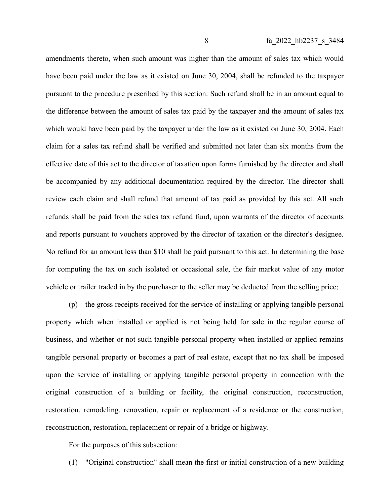amendments thereto, when such amount was higher than the amount of sales tax which would have been paid under the law as it existed on June 30, 2004, shall be refunded to the taxpayer pursuant to the procedure prescribed by this section. Such refund shall be in an amount equal to the difference between the amount of sales tax paid by the taxpayer and the amount of sales tax which would have been paid by the taxpayer under the law as it existed on June 30, 2004. Each claim for a sales tax refund shall be verified and submitted not later than six months from the effective date of this act to the director of taxation upon forms furnished by the director and shall be accompanied by any additional documentation required by the director. The director shall review each claim and shall refund that amount of tax paid as provided by this act. All such refunds shall be paid from the sales tax refund fund, upon warrants of the director of accounts and reports pursuant to vouchers approved by the director of taxation or the director's designee. No refund for an amount less than \$10 shall be paid pursuant to this act. In determining the base for computing the tax on such isolated or occasional sale, the fair market value of any motor vehicle or trailer traded in by the purchaser to the seller may be deducted from the selling price;

(p) the gross receipts received for the service of installing or applying tangible personal property which when installed or applied is not being held for sale in the regular course of business, and whether or not such tangible personal property when installed or applied remains tangible personal property or becomes a part of real estate, except that no tax shall be imposed upon the service of installing or applying tangible personal property in connection with the original construction of a building or facility, the original construction, reconstruction, restoration, remodeling, renovation, repair or replacement of a residence or the construction, reconstruction, restoration, replacement or repair of a bridge or highway.

For the purposes of this subsection:

(1) "Original construction" shall mean the first or initial construction of a new building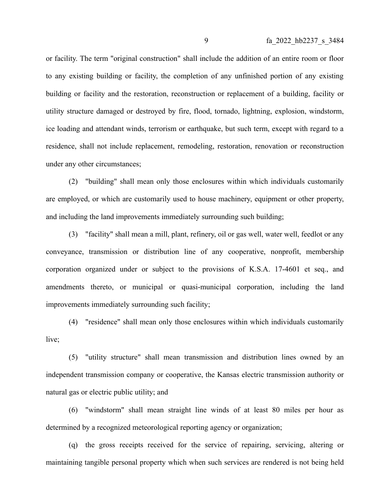or facility. The term "original construction" shall include the addition of an entire room or floor to any existing building or facility, the completion of any unfinished portion of any existing building or facility and the restoration, reconstruction or replacement of a building, facility or utility structure damaged or destroyed by fire, flood, tornado, lightning, explosion, windstorm, ice loading and attendant winds, terrorism or earthquake, but such term, except with regard to a residence, shall not include replacement, remodeling, restoration, renovation or reconstruction under any other circumstances;

(2) "building" shall mean only those enclosures within which individuals customarily are employed, or which are customarily used to house machinery, equipment or other property, and including the land improvements immediately surrounding such building;

(3) "facility" shall mean a mill, plant, refinery, oil or gas well, water well, feedlot or any conveyance, transmission or distribution line of any cooperative, nonprofit, membership corporation organized under or subject to the provisions of K.S.A. 17-4601 et seq., and amendments thereto, or municipal or quasi-municipal corporation, including the land improvements immediately surrounding such facility;

(4) "residence" shall mean only those enclosures within which individuals customarily live;

(5) "utility structure" shall mean transmission and distribution lines owned by an independent transmission company or cooperative, the Kansas electric transmission authority or natural gas or electric public utility; and

(6) "windstorm" shall mean straight line winds of at least 80 miles per hour as determined by a recognized meteorological reporting agency or organization;

(q) the gross receipts received for the service of repairing, servicing, altering or maintaining tangible personal property which when such services are rendered is not being held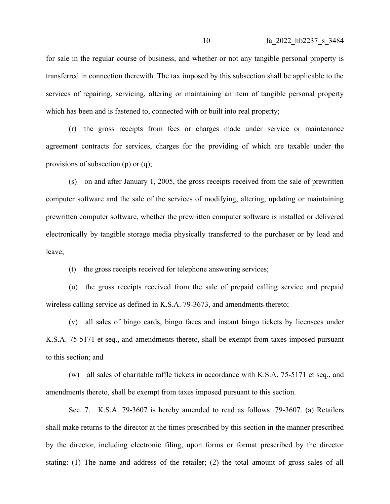for sale in the regular course of business, and whether or not any tangible personal property is transferred in connection therewith. The tax imposed by this subsection shall be applicable to the services of repairing, servicing, altering or maintaining an item of tangible personal property which has been and is fastened to, connected with or built into real property;

(r) the gross receipts from fees or charges made under service or maintenance agreement contracts for services, charges for the providing of which are taxable under the provisions of subsection (p) or (q);

(s) on and after January 1, 2005, the gross receipts received from the sale of prewritten computer software and the sale of the services of modifying, altering, updating or maintaining prewritten computer software, whether the prewritten computer software is installed or delivered electronically by tangible storage media physically transferred to the purchaser or by load and leave;

(t) the gross receipts received for telephone answering services;

(u) the gross receipts received from the sale of prepaid calling service and prepaid wireless calling service as defined in K.S.A. 79-3673, and amendments thereto;

(v) all sales of bingo cards, bingo faces and instant bingo tickets by licensees under K.S.A. 75-5171 et seq., and amendments thereto, shall be exempt from taxes imposed pursuant to this section; and

(w) all sales of charitable raffle tickets in accordance with K.S.A. 75-5171 et seq., and amendments thereto, shall be exempt from taxes imposed pursuant to this section.

Sec. 7. K.S.A. 79-3607 is hereby amended to read as follows: 79-3607. (a) Retailers shall make returns to the director at the times prescribed by this section in the manner prescribed by the director, including electronic filing, upon forms or format prescribed by the director stating: (1) The name and address of the retailer; (2) the total amount of gross sales of all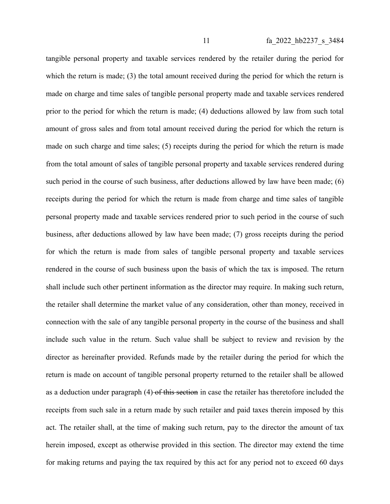tangible personal property and taxable services rendered by the retailer during the period for which the return is made; (3) the total amount received during the period for which the return is made on charge and time sales of tangible personal property made and taxable services rendered prior to the period for which the return is made; (4) deductions allowed by law from such total amount of gross sales and from total amount received during the period for which the return is made on such charge and time sales; (5) receipts during the period for which the return is made from the total amount of sales of tangible personal property and taxable services rendered during such period in the course of such business, after deductions allowed by law have been made; (6) receipts during the period for which the return is made from charge and time sales of tangible personal property made and taxable services rendered prior to such period in the course of such business, after deductions allowed by law have been made; (7) gross receipts during the period for which the return is made from sales of tangible personal property and taxable services rendered in the course of such business upon the basis of which the tax is imposed. The return shall include such other pertinent information as the director may require. In making such return, the retailer shall determine the market value of any consideration, other than money, received in connection with the sale of any tangible personal property in the course of the business and shall include such value in the return. Such value shall be subject to review and revision by the director as hereinafter provided. Refunds made by the retailer during the period for which the return is made on account of tangible personal property returned to the retailer shall be allowed as a deduction under paragraph (4) of this section in case the retailer has theretofore included the receipts from such sale in a return made by such retailer and paid taxes therein imposed by this act. The retailer shall, at the time of making such return, pay to the director the amount of tax herein imposed, except as otherwise provided in this section. The director may extend the time for making returns and paying the tax required by this act for any period not to exceed 60 days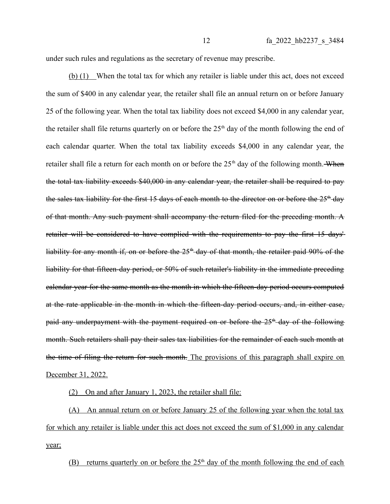under such rules and regulations as the secretary of revenue may prescribe.

(b) (1) When the total tax for which any retailer is liable under this act, does not exceed the sum of \$400 in any calendar year, the retailer shall file an annual return on or before January 25 of the following year. When the total tax liability does not exceed \$4,000 in any calendar year, the retailer shall file returns quarterly on or before the  $25<sup>th</sup>$  day of the month following the end of each calendar quarter. When the total tax liability exceeds \$4,000 in any calendar year, the retailer shall file a return for each month on or before the  $25<sup>th</sup>$  day of the following month. When the total tax liability exceeds \$40,000 in any calendar year, the retailer shall be required to pay the sales tax liability for the first 15 days of each month to the director on or before the  $25<sup>th</sup>$  day of that month. Any such payment shall accompany the return filed for the preceding month. A retailer will be considered to have complied with the requirements to pay the first 15 days' liability for any month if, on or before the  $25<sup>th</sup>$  day of that month, the retailer paid 90% of the liability for that fifteen-day period, or 50% of such retailer's liability in the immediate preceding calendar year for the same month as the month in which the fifteen-day period occurs computed at the rate applicable in the month in which the fifteen-day period occurs, and, in either case, paid any underpayment with the payment required on or before the  $25<sup>th</sup>$  day of the following month. Such retailers shall pay their sales tax liabilities for the remainder of each such month at the time of filing the return for such month. The provisions of this paragraph shall expire on December 31, 2022.

(2) On and after January 1, 2023, the retailer shall file:

(A) An annual return on or before January 25 of the following year when the total tax for which any retailer is liable under this act does not exceed the sum of \$1,000 in any calendar year;

(B) returns quarterly on or before the  $25<sup>th</sup>$  day of the month following the end of each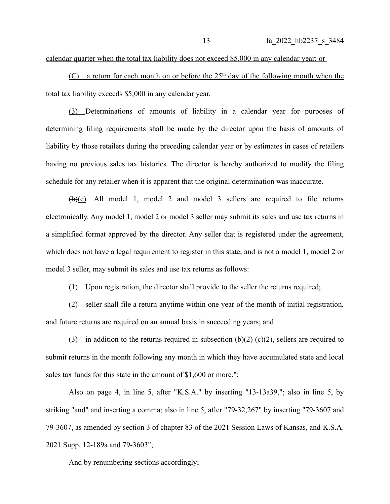calendar quarter when the total tax liability does not exceed \$5,000 in any calendar year; or

(C) a return for each month on or before the  $25<sup>th</sup>$  day of the following month when the total tax liability exceeds \$5,000 in any calendar year.

(3) Determinations of amounts of liability in a calendar year for purposes of determining filing requirements shall be made by the director upon the basis of amounts of liability by those retailers during the preceding calendar year or by estimates in cases of retailers having no previous sales tax histories. The director is hereby authorized to modify the filing schedule for any retailer when it is apparent that the original determination was inaccurate.

 $(\frac{b}{c})$  All model 1, model 2 and model 3 sellers are required to file returns electronically. Any model 1, model 2 or model 3 seller may submit its sales and use tax returns in a simplified format approved by the director. Any seller that is registered under the agreement, which does not have a legal requirement to register in this state, and is not a model 1, model 2 or model 3 seller, may submit its sales and use tax returns as follows:

(1) Upon registration, the director shall provide to the seller the returns required;

(2) seller shall file a return anytime within one year of the month of initial registration, and future returns are required on an annual basis in succeeding years; and

(3) in addition to the returns required in subsection  $(b)(2)$  (c)(2), sellers are required to submit returns in the month following any month in which they have accumulated state and local sales tax funds for this state in the amount of \$1,600 or more.";

Also on page 4, in line 5, after "K.S.A." by inserting "13-13a39,"; also in line 5, by striking "and" and inserting a comma; also in line 5, after "79-32,267" by inserting "79-3607 and 79-3607, as amended by section 3 of chapter 83 of the 2021 Session Laws of Kansas, and K.S.A. 2021 Supp. 12-189a and 79-3603";

And by renumbering sections accordingly;